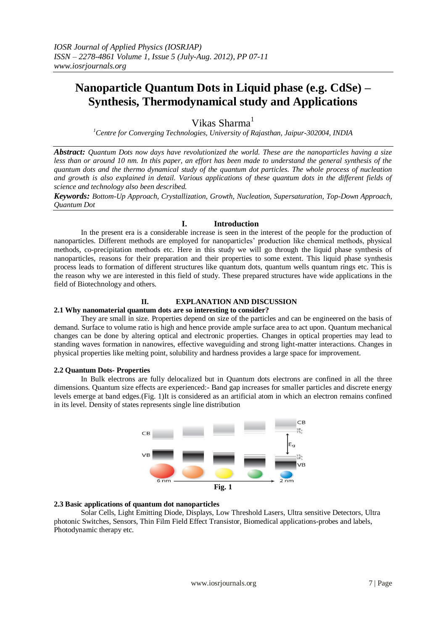# **Nanoparticle Quantum Dots in Liquid phase (e.g. CdSe) – Synthesis, Thermodynamical study and Applications**

Vikas Sharma<sup>1</sup>

*<sup>1</sup>Centre for Converging Technologies, University of Rajasthan, Jaipur-302004, INDIA*

*Abstract: Quantum Dots now days have revolutionized the world. These are the nanoparticles having a size less than or around 10 nm. In this paper, an effort has been made to understand the general synthesis of the quantum dots and the thermo dynamical study of the quantum dot particles. The whole process of nucleation and growth is also explained in detail. Various applications of these quantum dots in the different fields of science and technology also been described.* 

*Keywords: Bottom-Up Approach, Crystallization, Growth, Nucleation, Supersaturation, Top-Down Approach, Quantum Dot*

## **I. Introduction**

In the present era is a considerable increase is seen in the interest of the people for the production of nanoparticles. Different methods are employed for nanoparticles' production like chemical methods, physical methods, co-precipitation methods etc. Here in this study we will go through the liquid phase synthesis of nanoparticles, reasons for their preparation and their properties to some extent. This liquid phase synthesis process leads to formation of different structures like quantum dots, quantum wells quantum rings etc. This is the reason why we are interested in this field of study. These prepared structures have wide applications in the field of Biotechnology and others.

# **II. EXPLANATION AND DISCUSSION**

#### **2.1 Why nanomaterial quantum dots are so interesting to consider?**

They are small in size. Properties depend on size of the particles and can be engineered on the basis of demand. Surface to volume ratio is high and hence provide ample surface area to act upon. Quantum mechanical changes can be done by altering optical and electronic properties. Changes in optical properties may lead to standing waves formation in nanowires, effective waveguiding and strong light-matter interactions. Changes in physical properties like melting point, solubility and hardness provides a large space for improvement.

#### **2.2 Quantum Dots- Properties**

In Bulk electrons are fully delocalized but in Quantum dots electrons are confined in all the three dimensions. Quantum size effects are experienced:- Band gap increases for smaller particles and discrete energy levels emerge at band edges.(Fig. 1)It is considered as an artificial atom in which an electron remains confined in its level. Density of states represents single line distribution



## **2.3 Basic applications of quantum dot nanoparticles**

Solar Cells, Light Emitting Diode, Displays, Low Threshold Lasers, Ultra sensitive Detectors, Ultra photonic Switches, Sensors, Thin Film Field Effect Transistor, Biomedical applications-probes and labels, Photodynamic therapy etc.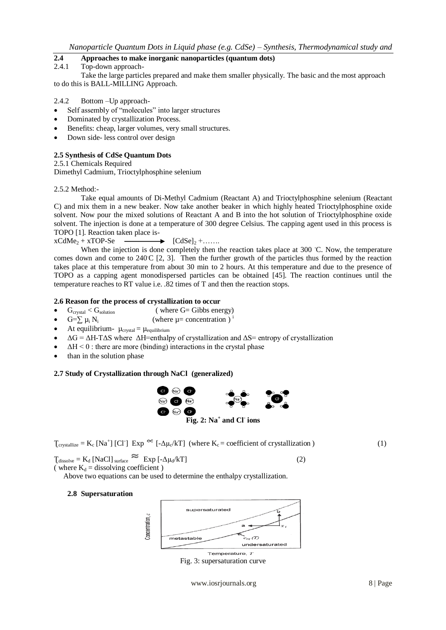# **2.4 Approaches to make inorganic nanoparticles (quantum dots)**

#### 2.4.1 Top-down approach-

Take the large particles prepared and make them smaller physically. The basic and the most approach to do this is BALL-MILLING Approach.

- 2.4.2 Bottom –Up approach-
- Self assembly of "molecules" into larger structures
- Dominated by crystallization Process.
- Benefits: cheap, larger volumes, very small structures.
- Down side- less control over design

#### **2.5 Synthesis of CdSe Quantum Dots**

2.5.1 Chemicals Required

Dimethyl Cadmium, Trioctylphosphine selenium

#### 2.5.2 Method:-

Take equal amounts of Di-Methyl Cadmium (Reactant A) and Trioctylphosphine selenium (Reactant C) and mix them in a new beaker. Now take another beaker in which highly heated Trioctylphosphine oxide solvent. Now pour the mixed solutions of Reactant A and B into the hot solution of Trioctylphosphine oxide solvent. The injection is done at a temperature of 300 degree Celsius. The capping agent used in this process is TOPO [1]. Reaction taken place is-

# $xCdMe<sub>2</sub> + xTOP-Se$   $\longrightarrow$   $[CdSe]<sub>2</sub> + \dots$

When the injection is done completely then the reaction takes place at 300 °C. Now, the temperature comes down and come to  $240 \text{ C}$  [2, 3]. Then the further growth of the particles thus formed by the reaction takes place at this temperature from about 30 min to 2 hours. At this temperature and due to the presence of TOPO as a capping agent monodispersed particles can be obtained [45]. The reaction continues until the temperature reaches to RT value i.e. .82 times of T and then the reaction stops.

#### **2.6 Reason for the process of crystallization to occur**

- $G<sub>crystal</sub> < G<sub>solution</sub>$  (where  $G= Gibbs$  energy)
- G= $\Sigma \mu_i N_i$ (where  $\mu$ = concentration)<sup>i</sup>
- At equilibrium-  $\mu_{crystal} = \mu_{equilibrium}$
- $\Delta G = \Delta H T \Delta S$  where  $\Delta H$ =enthalpy of crystallization and  $\Delta S$ = entropy of crystallization
- $\Delta H < 0$ : there are more (binding) interactions in the crystal phase
- than in the solution phase

## **2.7 Study of Crystallization through NaCl (generalized)**



|  |  | $T_{\text{crystallize}} = K_c [Na^+] [CI] Exp \propto [-\Delta \mu_c / kT]$ (where $K_c$ = coefficient of crystallization) |  |
|--|--|----------------------------------------------------------------------------------------------------------------------------|--|
|--|--|----------------------------------------------------------------------------------------------------------------------------|--|

 $T_{\text{dissolve}} = K_d \left[ \text{NaCl} \right]_{\text{surface}} \approx \text{Exp} \left[ -\Delta \mu_d / k \right]$  (2)

( where  $K_d$  = dissolving coefficient )

Above two equations can be used to determine the enthalpy crystallization.

#### **2.8 Supersaturation**

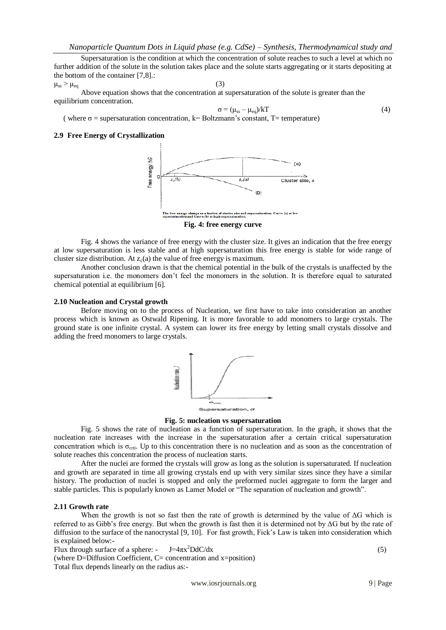Supersaturation is the condition at which the concentration of solute reaches to such a level at which no further addition of the solute in the solution takes place and the solute starts aggregating or it starts depositing at the bottom of the container [7,8].:

 $\mu_{\rm ss} > \mu_{\rm eq}$  (3)

Above equation shows that the concentration at supersaturation of the solute is greater than the equilibrium concentration.

$$
\sigma = (\mu_{ss} - \mu_{eq})/kT
$$
 (4)

( where  $\sigma$  = supersaturation concentration, k= Boltzmann's constant, T= temperature)

# **2.9 Free Energy of Crystallization**



**Fig. 4: free energy curve**

Fig. 4 shows the variance of free energy with the cluster size. It gives an indication that the free energy at low supersaturation is less stable and at high supersaturation this free energy is stable for wide range of cluster size distribution. At  $z_c(a)$  the value of free energy is maximum.

Another conclusion drawn is that the chemical potential in the bulk of the crystals is unaffected by the supersaturation i.e. the monomers don't feel the monomers in the solution. It is therefore equal to saturated chemical potential at equilibrium [6].

#### **2.10 Nucleation and Crystal growth**

Before moving on to the process of Nucleation, we first have to take into consideration an another process which is known as Ostwald Ripening. It is more favorable to add monomers to large crystals. The ground state is one infinite crystal. A system can lower its free energy by letting small crystals dissolve and adding the freed monomers to large crystals.



**Fig. 5: nucleation vs supersaturation**

Fig. 5 shows the rate of nucleation as a function of supersaturation. In the graph, it shows that the nucleation rate increases with the increase in the supersaturation after a certain critical supersaturation concentration which is  $\sigma_{\rm crit}$ . Up to this concentration there is no nucleation and as soon as the concentration of solute reaches this concentration the process of nucleation starts.

After the nuclei are formed the crystals will grow as long as the solution is supersaturated. If nucleation and growth are separated in time all growing crystals end up with very similar sizes since they have a similar history. The production of nuclei is stopped and only the preformed nuclei aggregate to form the larger and stable particles. This is popularly known as Lamer Model or "The separation of nucleation and growth".

## **2.11 Growth rate**

When the growth is not so fast then the rate of growth is determined by the value of  $\Delta G$  which is referred to as Gibb's free energy. But when the growth is fast then it is determined not by ΔG but by the rate of diffusion to the surface of the nanocrystal [9, 10]. For fast growth, Fick's Law is taken into consideration which is explained below:-

Flux through surface of a sphere:  $J=4\pi x^2DdC/dx$  (5) (where D=Diffusion Coefficient, C= concentration and x=position)

Total flux depends linearly on the radius as:-

www.iosrjournals.org 9 | Page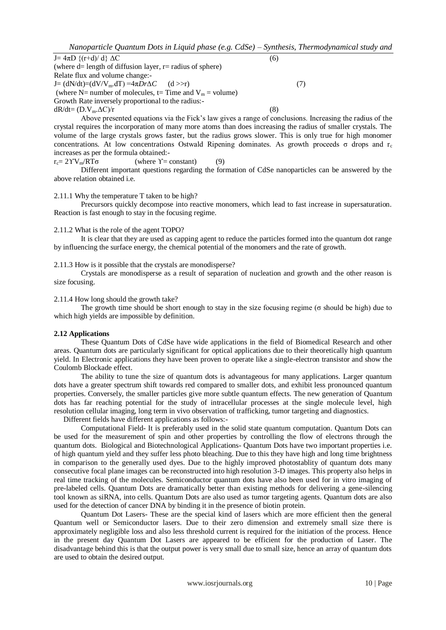*Nanoparticle Quantum Dots in Liquid phase (e.g. CdSe) – Synthesis, Thermodynamical study and* 

 $J=4\pi D \{(r+d)/d\} \Delta C$  (6) (where  $d=$  length of diffusion layer,  $r=$  radius of sphere) Relate flux and volume change:-  $J=$  (dN/dt)=(dV/V<sub>m</sub>.dT) =4π*Dr*Δ*C* (d >>r) (7) (where N= number of molecules, t= Time and  $V_m$  = volume) Growth Rate inversely proportional to the radius:  $dR/dt = (D.V_m.\Delta C)/r$  (8)

Above presented equations via the Fick's law gives a range of conclusions. Increasing the radius of the crystal requires the incorporation of many more atoms than does increasing the radius of smaller crystals. The volume of the large crystals grows faster, but the radius grows slower. This is only true for high monomer concentrations. At low concentrations Ostwald Ripening dominates. As growth proceeds σ drops and  $r_c$ increases as per the formula obtained:-

$$
r_c = 2\Upsilon V_m / RT\sigma \qquad \qquad \text{(where } \Upsilon = \text{constant)} \tag{9}
$$

Different important questions regarding the formation of CdSe nanoparticles can be answered by the above relation obtained i.e.

#### 2.11.1 Why the temperature T taken to be high?

Precursors quickly decompose into reactive monomers, which lead to fast increase in supersaturation. Reaction is fast enough to stay in the focusing regime.

#### 2.11.2 What is the role of the agent TOPO?

It is clear that they are used as capping agent to reduce the particles formed into the quantum dot range by influencing the surface energy, the chemical potential of the monomers and the rate of growth.

#### 2.11.3 How is it possible that the crystals are monodisperse?

Crystals are monodisperse as a result of separation of nucleation and growth and the other reason is size focusing.

2.11.4 How long should the growth take?

The growth time should be short enough to stay in the size focusing regime ( $\sigma$  should be high) due to which high yields are impossible by definition.

#### **2.12 Applications**

These Quantum Dots of CdSe have wide applications in the field of Biomedical Research and other areas. Quantum dots are particularly significant for optical applications due to their theoretically high quantum yield. In Electronic applications they have been proven to operate like a single-electron transistor and show the Coulomb Blockade effect.

The ability to tune the size of quantum dots is advantageous for many applications. Larger quantum dots have a greater spectrum shift towards red compared to smaller dots, and exhibit less pronounced quantum properties. Conversely, the smaller particles give more subtle quantum effects. The new generation of Quantum dots has far reaching potential for the study of intracellular processes at the single molecule level, high resolution cellular imaging, long term in vivo observation of trafficking, tumor targeting and diagnostics.

Different fields have different applications as follows:-

Computational Field- It is preferably used in the solid state quantum computation. Quantum Dots can be used for the measurement of spin and other properties by controlling the flow of electrons through the quantum dots. Biological and Biotechnological Applications- Quantum Dots have two important properties i.e. of high quantum yield and they suffer less photo bleaching. Due to this they have high and long time brightness in comparison to the generally used dyes. Due to the highly improved photostablity of quantum dots many consecutive focal plane images can be reconstructed into high resolution 3-D images. This property also helps in real time tracking of the molecules. Semiconductor quantum dots have also been used for in vitro imaging of pre-labeled cells. Quantum Dots are dramatically better than existing methods for delivering a gene-silencing tool known as siRNA, into cells. Quantum Dots are also used as tumor targeting agents. Quantum dots are also used for the detection of cancer DNA by binding it in the presence of biotin protein.

Quantum Dot Lasers- These are the special kind of lasers which are more efficient then the general Quantum well or Semiconductor lasers. Due to their zero dimension and extremely small size there is approximately negligible loss and also less threshold current is required for the initiation of the process. Hence in the present day Quantum Dot Lasers are appeared to be efficient for the production of Laser. The disadvantage behind this is that the output power is very small due to small size, hence an array of quantum dots are used to obtain the desired output.